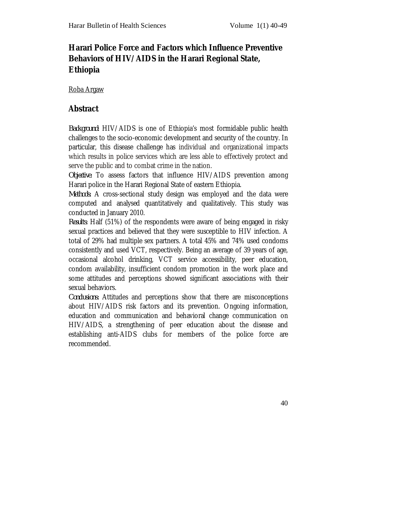# **Harari Police Force and Factors which Influence Preventive Behaviors of HIV/AIDS in the Harari Regional State, Ethiopia**

Roba Argaw

#### **Abstract**

*Background:* HIV/AIDS is one of Ethiopia's most formidable public health challenges to the socio-economic development and security of the country. In particular, this disease challenge has individual and organizational impacts which results in police services which are less able to effectively protect and serve the public and to combat crime in the nation.

*Objective:* To assess factors that influence HIV/AIDS prevention among Harari police in the Harari Regional State of eastern Ethiopia.

*Methods:* A cross-sectional study design was employed and the data were computed and analysed quantitatively and qualitatively. This study was conducted in January 2010.

*Results*: Half (51%) of the respondents were aware of being engaged in risky sexual practices and believed that they were susceptible to HIV infection. A total of 29% had multiple sex partners. A total 45% and 74% used condoms consistently and used VCT, respectively. Being an average of 39 years of age, occasional alcohol drinking, VCT service accessibility, peer education, condom availability, insufficient condom promotion in the work place and some attitudes and perceptions showed significant associations with their sexual behaviors.

*Conclusions:* Attitudes and perceptions show that there are misconceptions about HIV/AIDS risk factors and its prevention. Ongoing information, education and communication and behavioral change communication on HIV/AIDS, a strengthening of peer education about the disease and establishing anti-AIDS clubs for members of the police force are recommended.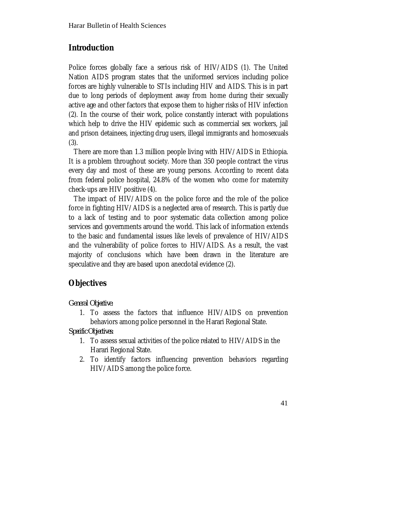## **Introduction**

Police forces globally face a serious risk of HIV/AIDS (1). The United Nation AIDS program states that the uniformed services including police forces are highly vulnerable to STIs including HIV and AIDS. This is in part due to long periods of deployment away from home during their sexually active age and other factors that expose them to higher risks of HIV infection (2). In the course of their work, police constantly interact with populations which help to drive the HIV epidemic such as commercial sex workers, jail and prison detainees, injecting drug users, illegal immigrants and homosexuals (3).

 There are more than 1.3 million people living with HIV/AIDS in Ethiopia. It is a problem throughout society. More than 350 people contract the virus every day and most of these are young persons. According to recent data from federal police hospital, 24.8% of the women who come for maternity check-ups are HIV positive (4).

 The impact of HIV/AIDS on the police force and the role of the police force in fighting HIV/AIDS is a neglected area of research. This is partly due to a lack of testing and to poor systematic data collection among police services and governments around the world. This lack of information extends to the basic and fundamental issues like levels of prevalence of HIV/AIDS and the vulnerability of police forces to HIV/AIDS. As a result, the vast majority of conclusions which have been drawn in the literature are speculative and they are based upon anecdotal evidence (2).

## **Objectives**

*General Objective:*

1. To assess the factors that influence HIV/AIDS on prevention behaviors among police personnel in the Harari Regional State.

*Specific Objectives:*

- 1. To assess sexual activities of the police related to HIV/AIDS in the Harari Regional State.
- 2. To identify factors influencing prevention behaviors regarding HIV/AIDS among the police force.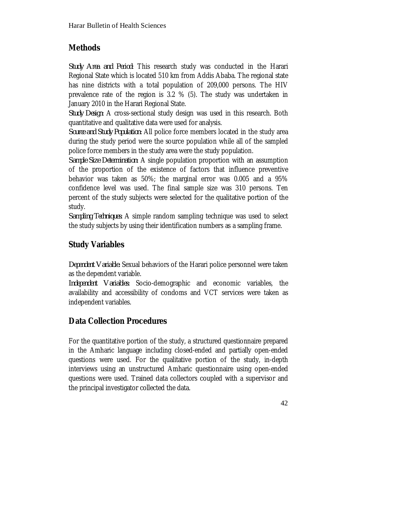## **Methods**

*Study Area and Period:* This research study was conducted in the Harari Regional State which is located 510 km from Addis Ababa. The regional state has nine districts with a total population of 209,000 persons. The HIV prevalence rate of the region is 3.2 % (5). The study was undertaken in January 2010 in the Harari Regional State.

*Study Design:* A cross-sectional study design was used in this research. Both quantitative and qualitative data were used for analysis.

*Source and Study Population:* All police force members located in the study area during the study period were the source population while all of the sampled police force members in the study area were the study population.

*Sample Size Determination:* A single population proportion with an assumption of the proportion of the existence of factors that influence preventive behavior was taken as 50%; the marginal error was 0.005 and a 95% confidence level was used. The final sample size was 310 persons. Ten percent of the study subjects were selected for the qualitative portion of the study.

*Sampling Techniques:* A simple random sampling technique was used to select the study subjects by using their identification numbers as a sampling frame.

# **Study Variables**

*Dependent Variable:* Sexual behaviors of the Harari police personnel were taken as the dependent variable.

*Independent Variables:* Socio-demographic and economic variables, the availability and accessibility of condoms and VCT services were taken as independent variables.

# **Data Collection Procedures**

For the quantitative portion of the study, a structured questionnaire prepared in the Amharic language including closed-ended and partially open-ended questions were used. For the qualitative portion of the study, in-depth interviews using an unstructured Amharic questionnaire using open-ended questions were used. Trained data collectors coupled with a supervisor and the principal investigator collected the data.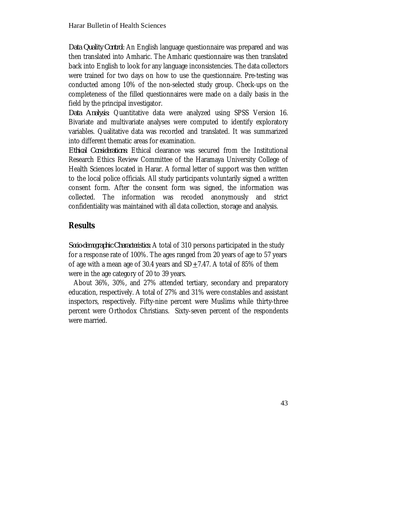*Data Quality Control:* An English language questionnaire was prepared and was then translated into Amharic. The Amharic questionnaire was then translated back into English to look for any language inconsistencies. The data collectors were trained for two days on how to use the questionnaire. Pre-testing was conducted among 10% of the non-selected study group. Check-ups on the completeness of the filled questionnaires were made on a daily basis in the field by the principal investigator.

*Data Analysis:* Quantitative data were analyzed using SPSS Version 16. Bivariate and multivariate analyses were computed to identify exploratory variables. Qualitative data was recorded and translated. It was summarized into different thematic areas for examination.

*Ethical Considerations:* Ethical clearance was secured from the Institutional Research Ethics Review Committee of the Haramaya University College of Health Sciences located in Harar. A formal letter of support was then written to the local police officials. All study participants voluntarily signed a written consent form. After the consent form was signed, the information was collected. The information was recoded anonymously and strict confidentiality was maintained with all data collection, storage and analysis.

## **Results**

*Socio-demographic Characteristics:* A total of 310 persons participated in the study for a response rate of 100%. The ages ranged from 20 years of age to 57 years of age with a mean age of 30.4 years and  $SD+7.47$ . A total of 85% of them were in the age category of 20 to 39 years.

 About 36%, 30%, and 27% attended tertiary, secondary and preparatory education, respectively. A total of 27% and 31% were constables and assistant inspectors, respectively. Fifty-nine percent were Muslims while thirty-three percent were Orthodox Christians. Sixty-seven percent of the respondents were married.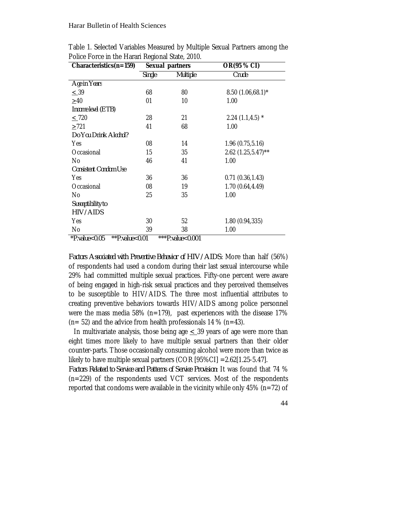| Characteristics(n=159)          | Sexual partners |                       | OR(95 % CI)          |  |
|---------------------------------|-----------------|-----------------------|----------------------|--|
|                                 | <b>Single</b>   | <b>Multiple</b>       | Crude                |  |
| Age in Years                    |                 |                       |                      |  |
| $\leq 39$                       | 68              | 80                    | $8.50(1.06,68.1)^*$  |  |
| $\geq 40$                       | 01              | 10                    | 1.00                 |  |
| Income level (ETB)              |                 |                       |                      |  |
| $\leq$ 720                      | 28              | 21                    | $2.24(1.1, 4.5)$ *   |  |
| >721                            | 41              | 68                    | 1.00                 |  |
| Do You Drink Alcohol?           |                 |                       |                      |  |
| Yes                             | 08              | 14                    | 1.96(0.75, 5.16)     |  |
| Occasional                      | 15              | 35                    | $2.62$ (1.25,5.47)** |  |
| No                              | 46              | 41                    | 1.00                 |  |
| <b>Consistent Condom Use</b>    |                 |                       |                      |  |
| Yes                             | 36              | 36                    | 0.71(0.36, 1.43)     |  |
| Occasional                      | 08              | 19                    | 1.70 (0.64,4.49)     |  |
| No                              | 25              | 35                    | 1.00                 |  |
| Susceptibility to               |                 |                       |                      |  |
| HIV/AIDS                        |                 |                       |                      |  |
| Yes                             | 30              | 52                    | 1.80 (0.94,335)      |  |
| No                              | 39              | 38                    | 1.00                 |  |
| $*D$ value $>0.05$<br>$*$ $n_1$ |                 | $***D$ unlue $>0.001$ |                      |  |

Table 1. Selected Variables Measured by Multiple Sexual Partners among the Police Force in the Harari Regional State, 2010.

*\*P.value<0.05 \*\*P.value<0.01 \*\*\*P.value<0.001*

*Factors Associated with Preventive Behavior of HIV/AIDS:* More than half (56%) of respondents had used a condom during their last sexual intercourse while 29% had committed multiple sexual practices. Fifty-one percent were aware of being engaged in high-risk sexual practices and they perceived themselves to be susceptible to HIV/AIDS. The three most influential attributes to creating preventive behaviors towards HIV/AIDS among police personnel were the mass media 58% ( $n=179$ ), past experiences with the disease 17%  $(n= 52)$  and the advice from health professionals 14 %  $(n=43)$ .

In multivariate analysis, those being age  $\leq$  39 years of age were more than eight times more likely to have multiple sexual partners than their older counter-parts. Those occasionally consuming alcohol were more than twice as likely to have multiple sexual partners (COR [95%CI] =2.62[1.25-5.47].

*Factors Related to Service and Patterns of Service Provision:* It was found that 74 % (n=229) of the respondents used VCT services. Most of the respondents reported that condoms were available in the vicinity while only 45% ( $n=72$ ) of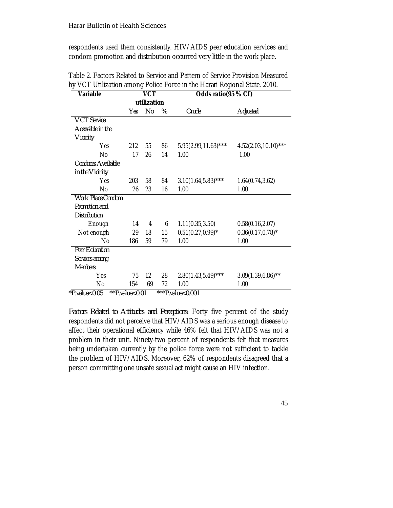respondents used them consistently. HIV/AIDS peer education services and condom promotion and distribution occurred very little in the work place.

| Variable                 | <b>VCT</b>  |    |      | Odds ratio(95 % CI)    |                         |  |
|--------------------------|-------------|----|------|------------------------|-------------------------|--|
|                          | utilization |    |      |                        |                         |  |
|                          | Yes         | No | $\%$ | Crude                  | Adjusted                |  |
| <b>VCT</b> Service       |             |    |      |                        |                         |  |
| Accessible in the        |             |    |      |                        |                         |  |
| Vicinity                 |             |    |      |                        |                         |  |
| Yes                      | 212         | 55 | 86   | 5.95(2.99,11.63)***    | $4.52(2.03, 10.10)$ *** |  |
| No                       | 17          | 26 | 14   | 1.00                   | 1.00                    |  |
| Condoms Available        |             |    |      |                        |                         |  |
| in the Vicinity          |             |    |      |                        |                         |  |
| Yes                      | 203         | 58 | 84   | $3.10(1.64, 5.83)$ *** | 1.64(0.74, 3.62)        |  |
| No                       | 26          | 23 | 16   | 1.00                   | 1.00                    |  |
| <b>Work Place Condom</b> |             |    |      |                        |                         |  |
| Promotion and            |             |    |      |                        |                         |  |
| <b>Distribution</b>      |             |    |      |                        |                         |  |
| Enough                   | 14          | 4  | 6    | 1.11(0.35, 3.50)       | 0.58(0.16, 2.07)        |  |
| Not enough               | 29          | 18 | 15   | $0.51(0.27, 0.99)^*$   | $0.36(0.17, 0.78)^*$    |  |
| No                       | 186         | 59 | 79   | 1.00                   | 1.00                    |  |
| <b>Peer Education</b>    |             |    |      |                        |                         |  |
| Services among           |             |    |      |                        |                         |  |
| <b>Members</b>           |             |    |      |                        |                         |  |
| Yes                      | 75          | 12 | 28   | $2.80(1.43.5.49)$ ***  | $3.09(1.39, 6.86)$ **   |  |
| No                       | 154         | 69 | 72   | 1.00                   | 1.00                    |  |

Table 2. Factors Related to Service and Pattern of Service Provision Measured by VCT Utilization among Police Force in the Harari Regional State. 2010.

*\*P.value<0.05 \*\*P.value<0.01 \*\*\*P.value<0.001*

*Factors Related to Attitudes and Perceptions:* Forty five percent of the study respondents did not perceive that HIV/AIDS was a serious enough disease to affect their operational efficiency while 46% felt that HIV/AIDS was not a problem in their unit. Ninety-two percent of respondents felt that measures being undertaken currently by the police force were not sufficient to tackle the problem of HIV/AIDS. Moreover, 62% of respondents disagreed that a person committing one unsafe sexual act might cause an HIV infection.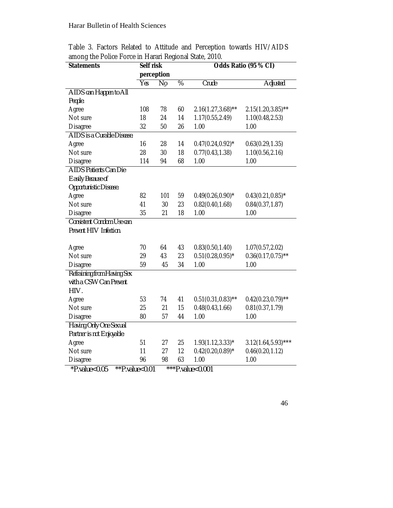| <b>Statements</b>            | Self risk  |         |    | Odds Ratio (95 % CI)   |                        |  |  |
|------------------------------|------------|---------|----|------------------------|------------------------|--|--|
|                              | perception |         |    |                        |                        |  |  |
|                              | Yes        | $N_{0}$ | %  | Crude                  | <b>Adjusted</b>        |  |  |
| AIDS can Happen to All       |            |         |    |                        |                        |  |  |
| People.                      |            |         |    |                        |                        |  |  |
| Agree                        | 108        | 78      | 60 | $2.16(1.27, 3.68)$ **  | $2.15(1.20, 3.85)$ **  |  |  |
| Not sure                     | 18         | 24      | 14 | 1.17(0.55, 2.49)       | 1.10(0.48, 2.53)       |  |  |
| <b>Disagree</b>              | 32         | 50      | 26 | 1.00                   | 1.00                   |  |  |
| AIDS is a Curable Disease.   |            |         |    |                        |                        |  |  |
| Agree                        | 16         | 28      | 14 | $0.47(0.24, 0.92)^{*}$ | 0.63(0.29, 1.35)       |  |  |
| Not sure                     | 28         | 30      | 18 | 0.77(0.43, 1.38)       | 1.10(0.56, 2.16)       |  |  |
| <b>Disagree</b>              | 114        | 94      | 68 | 1.00                   | 1.00                   |  |  |
| <b>AIDS Patients Can Die</b> |            |         |    |                        |                        |  |  |
| <b>Easily Because of</b>     |            |         |    |                        |                        |  |  |
| Opportunistic Disease.       |            |         |    |                        |                        |  |  |
| Agree                        | 82         | 101     | 59 | $0.49(0.26, 0.90)$ *   | $0.43(0.21, 0.85)^*$   |  |  |
| Not sure                     | 41         | 30      | 23 | 0.82(0.40, 1.68)       | 0.84(0.37, 1.87)       |  |  |
| <b>Disagree</b>              | 35         | 21      | 18 | 1.00                   | 1.00                   |  |  |
| Consistent Condom Use can    |            |         |    |                        |                        |  |  |
| Prevent HIV Infection.       |            |         |    |                        |                        |  |  |
|                              |            |         |    |                        |                        |  |  |
| Agree                        | 70         | 64      | 43 | 0.83(0.50, 1.40)       | 1.07(0.57,2.02)        |  |  |
| Not sure                     | 29         | 43      | 23 | $0.51(0.28, 0.95)^*$   | $0.36(0.17, 0.75)$ **  |  |  |
| <b>Disagree</b>              | 59         | 45      | 34 | 1.00                   | 1.00                   |  |  |
| Refraining from Having Sex   |            |         |    |                        |                        |  |  |
| with a CSW Can Prevent       |            |         |    |                        |                        |  |  |
| HIV.                         |            |         |    |                        |                        |  |  |
| Agree                        | 53         | 74      | 41 | $0.51(0.31, 0.83)$ **  | $0.42(0.23, 0.79)$ **  |  |  |
| Not sure                     | 25         | 21      | 15 | 0.48(0.43, 1.66)       | 0.81(0.37, 1.79)       |  |  |
| <b>Disagree</b>              | 80         | 57      | 44 | 1.00                   | 1.00                   |  |  |
| Having Only One Sexual       |            |         |    |                        |                        |  |  |
| Partner is not Enjoyable.    |            |         |    |                        |                        |  |  |
| Agree                        | 51         | 27      | 25 | $1.93(1.12, 3.33)^{*}$ | $3.12(1.64, 5.93)$ *** |  |  |
| Not sure                     | 11         | 27      | 12 | $0.42(0.20, 0.89)$ *   | 0.46(0.20, 1.12)       |  |  |
| Disagree                     | 96         | 98      | 63 | 1.00                   | 1.00                   |  |  |
| $+$ n $+$<br>0.001           |            |         |    |                        |                        |  |  |

Table 3. Factors Related to Attitude and Perception towards HIV/AIDS among the Police Force in Harari Regional State, 2010.

*\*P.value<0.05 \*\*P.value<0.01 \*\*\*P.value<0.001*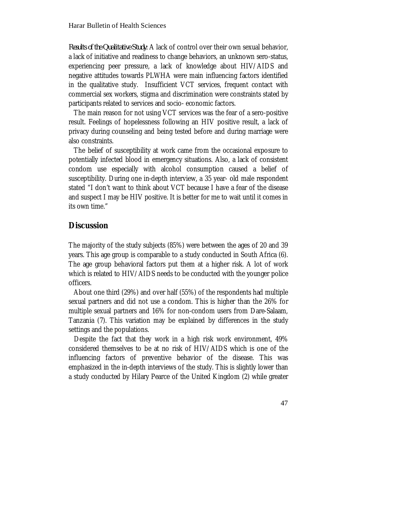*Results of the Qualitative Study:* A lack of control over their own sexual behavior, a lack of initiative and readiness to change behaviors, an unknown sero-status, experiencing peer pressure, a lack of knowledge about HIV/AIDS and negative attitudes towards PLWHA were main influencing factors identified in the qualitative study. Insufficient VCT services, frequent contact with commercial sex workers, stigma and discrimination were constraints stated by participants related to services and socio- economic factors.

The main reason for not using VCT services was the fear of a sero-positive result. Feelings of hopelessness following an HIV positive result, a lack of privacy during counseling and being tested before and during marriage were also constraints.

The belief of susceptibility at work came from the occasional exposure to potentially infected blood in emergency situations. Also, a lack of consistent condom use especially with alcohol consumption caused a belief of susceptibility. During one in-depth interview, a 35 year- old male respondent stated "I don't want to think about VCT because I have a fear of the disease and suspect I may be HIV positive. It is better for me to wait until it comes in its own time."

#### **Discussion**

The majority of the study subjects (85%) were between the ages of 20 and 39 years. This age group is comparable to a study conducted in South Africa (6). The age group behavioral factors put them at a higher risk. A lot of work which is related to HIV/AIDS needs to be conducted with the younger police officers.

 About one third (29%) and over half (55%) of the respondents had multiple sexual partners and did not use a condom. This is higher than the 26% for multiple sexual partners and 16% for non-condom users from Dare-Salaam, Tanzania (7). This variation may be explained by differences in the study settings and the populations.

 Despite the fact that they work in a high risk work environment, 49% considered themselves to be at no risk of HIV/AIDS which is one of the influencing factors of preventive behavior of the disease. This was emphasized in the in-depth interviews of the study. This is slightly lower than a study conducted by Hilary Pearce of the United Kingdom (2) while greater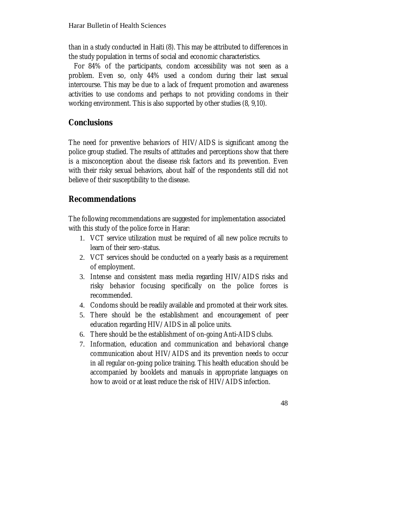than in a study conducted in Haiti (8). This may be attributed to differences in the study population in terms of social and economic characteristics.

 For 84% of the participants, condom accessibility was not seen as a problem. Even so, only 44% used a condom during their last sexual intercourse. This may be due to a lack of frequent promotion and awareness activities to use condoms and perhaps to not providing condoms in their working environment. This is also supported by other studies (8, 9,10).

## **Conclusions**

The need for preventive behaviors of HIV/AIDS is significant among the police group studied. The results of attitudes and perceptions show that there is a misconception about the disease risk factors and its prevention. Even with their risky sexual behaviors, about half of the respondents still did not believe of their susceptibility to the disease.

#### **Recommendations**

The following recommendations are suggested for implementation associated with this study of the police force in Harar:

- 1. VCT service utilization must be required of all new police recruits to learn of their sero-status.
- 2. VCT services should be conducted on a yearly basis as a requirement of employment.
- 3. Intense and consistent mass media regarding HIV/AIDS risks and risky behavior focusing specifically on the police forces is recommended.
- 4. Condoms should be readily available and promoted at their work sites.
- 5. There should be the establishment and encouragement of peer education regarding HIV/AIDS in all police units.
- 6. There should be the establishment of on-going Anti-AIDS clubs.
- 7. Information, education and communication and behavioral change communication about HIV/AIDS and its prevention needs to occur in all regular on-going police training. This health education should be accompanied by booklets and manuals in appropriate languages on how to avoid or at least reduce the risk of HIV/AIDS infection.